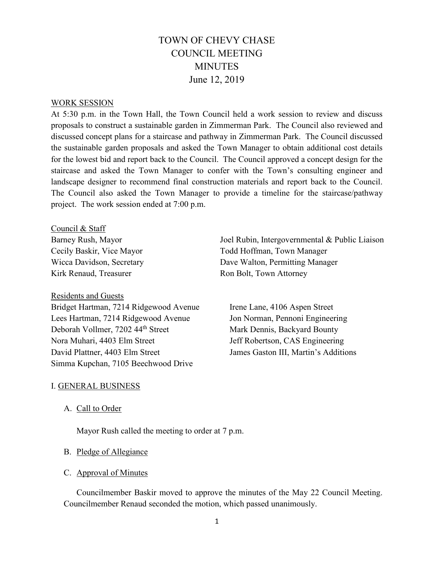# TOWN OF CHEVY CHASE COUNCIL MEETING MINUTES June 12, 2019

#### WORK SESSION

At 5:30 p.m. in the Town Hall, the Town Council held a work session to review and discuss proposals to construct a sustainable garden in Zimmerman Park. The Council also reviewed and discussed concept plans for a staircase and pathway in Zimmerman Park. The Council discussed the sustainable garden proposals and asked the Town Manager to obtain additional cost details for the lowest bid and report back to the Council. The Council approved a concept design for the staircase and asked the Town Manager to confer with the Town's consulting engineer and landscape designer to recommend final construction materials and report back to the Council. The Council also asked the Town Manager to provide a timeline for the staircase/pathway project. The work session ended at 7:00 p.m.

Council & Staff

Barney Rush, Mayor Cecily Baskir, Vice Mayor Wicca Davidson, Secretary Kirk Renaud, Treasurer

### Residents and Guests

Bridget Hartman, 7214 Ridgewood Avenue Lees Hartman, 7214 Ridgewood Avenue Deborah Vollmer, 7202 44<sup>th</sup> Street Nora Muhari, 4403 Elm Street David Plattner, 4403 Elm Street Simma Kupchan, 7105 Beechwood Drive

Joel Rubin, Intergovernmental & Public Liaison Todd Hoffman, Town Manager Dave Walton, Permitting Manager Ron Bolt, Town Attorney

Irene Lane, 4106 Aspen Street Jon Norman, Pennoni Engineering Mark Dennis, Backyard Bounty Jeff Robertson, CAS Engineering James Gaston III, Martin's Additions

### I. GENERAL BUSINESS

### A. Call to Order

Mayor Rush called the meeting to order at 7 p.m.

#### B. Pledge of Allegiance

### C. Approval of Minutes

Councilmember Baskir moved to approve the minutes of the May 22 Council Meeting. Councilmember Renaud seconded the motion, which passed unanimously.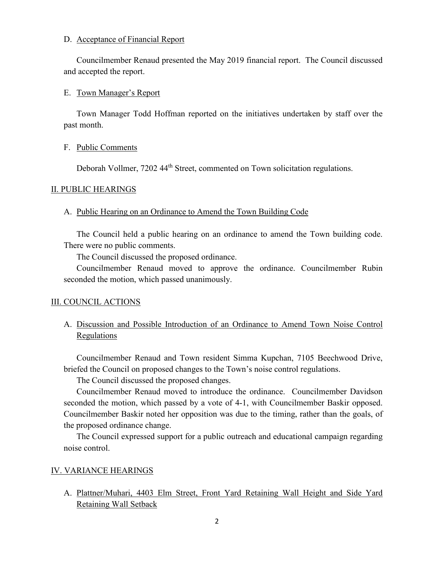### D. Acceptance of Financial Report

Councilmember Renaud presented the May 2019 financial report. The Council discussed and accepted the report.

### E. Town Manager's Report

Town Manager Todd Hoffman reported on the initiatives undertaken by staff over the past month.

### F. Public Comments

Deborah Vollmer, 7202 44<sup>th</sup> Street, commented on Town solicitation regulations.

### II. PUBLIC HEARINGS

### A. Public Hearing on an Ordinance to Amend the Town Building Code

The Council held a public hearing on an ordinance to amend the Town building code. There were no public comments.

The Council discussed the proposed ordinance.

Councilmember Renaud moved to approve the ordinance. Councilmember Rubin seconded the motion, which passed unanimously.

### III. COUNCIL ACTIONS

# A. Discussion and Possible Introduction of an Ordinance to Amend Town Noise Control **Regulations**

Councilmember Renaud and Town resident Simma Kupchan, 7105 Beechwood Drive, briefed the Council on proposed changes to the Town's noise control regulations.

The Council discussed the proposed changes.

Councilmember Renaud moved to introduce the ordinance. Councilmember Davidson seconded the motion, which passed by a vote of 4-1, with Councilmember Baskir opposed. Councilmember Baskir noted her opposition was due to the timing, rather than the goals, of the proposed ordinance change.

The Council expressed support for a public outreach and educational campaign regarding noise control.

### IV. VARIANCE HEARINGS

A. Plattner/Muhari, 4403 Elm Street, Front Yard Retaining Wall Height and Side Yard Retaining Wall Setback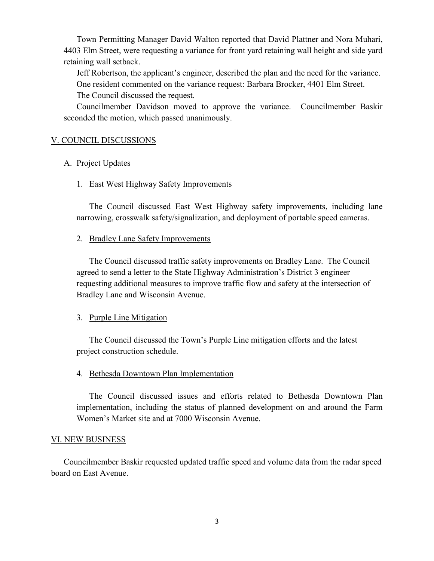Town Permitting Manager David Walton reported that David Plattner and Nora Muhari, 4403 Elm Street, were requesting a variance for front yard retaining wall height and side yard retaining wall setback.

Jeff Robertson, the applicant's engineer, described the plan and the need for the variance. One resident commented on the variance request: Barbara Brocker, 4401 Elm Street. The Council discussed the request.

Councilmember Davidson moved to approve the variance. Councilmember Baskir seconded the motion, which passed unanimously.

### V. COUNCIL DISCUSSIONS

### A. Project Updates

### 1. East West Highway Safety Improvements

The Council discussed East West Highway safety improvements, including lane narrowing, crosswalk safety/signalization, and deployment of portable speed cameras.

### 2. Bradley Lane Safety Improvements

The Council discussed traffic safety improvements on Bradley Lane. The Council agreed to send a letter to the State Highway Administration's District 3 engineer requesting additional measures to improve traffic flow and safety at the intersection of Bradley Lane and Wisconsin Avenue.

## 3. Purple Line Mitigation

The Council discussed the Town's Purple Line mitigation efforts and the latest project construction schedule.

### 4. Bethesda Downtown Plan Implementation

The Council discussed issues and efforts related to Bethesda Downtown Plan implementation, including the status of planned development on and around the Farm Women's Market site and at 7000 Wisconsin Avenue.

### VI. NEW BUSINESS

Councilmember Baskir requested updated traffic speed and volume data from the radar speed board on East Avenue.